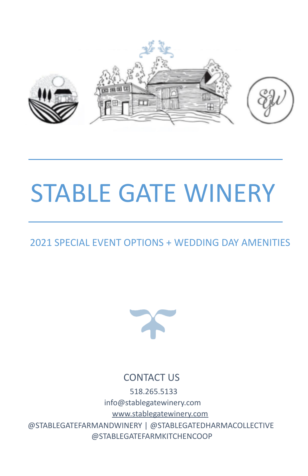

# STABLE GATE WINERY

# 2021 SPECIAL EVENT OPTIONS + WEDDING DAY AMENITIES



## CONTACT US

518.265.5133 info@stablegatewinery.com [www.stablegatewinery.com](http://www.stablegatewinery.com/) @STABLEGATEFARMANDWINERY | @STABLEGATEDHARMACOLLECTIVE @STABLEGATEFARMKITCHENCOOP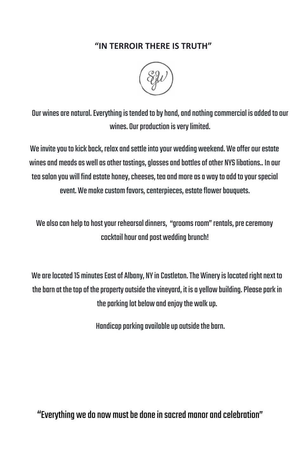## **"IN TERROIR THERE IS TRUTH"**



Our wines are natural. Everything is tended to by hand, and nothing commercial is added to our wines. Our production is very limited.

We invite you to kick back, relax and settle into your wedding weekend. We offer our estate wines and meads as well as other tastings, glasses and bottles of other NYS libations.. In our tea salon you will find estate honey, cheeses, tea and more as a way to add to your special event. We make custom favors, centerpieces, estate flower bouquets.

We also can help to host your rehearsal dinners, "grooms room" rentals, pre ceremony cocktail hour and post wedding brunch!

We are located 15 minutes East of Albany, NY in Castleton. The Winery is located right next to the barn at the top of the property outside the vinevard, it is a vellow building. Please park in the parking lot below and enjoy the walk up.

Handicap parking available up outside the barn.

"Everything we do now must be done in sacred manor and celebration"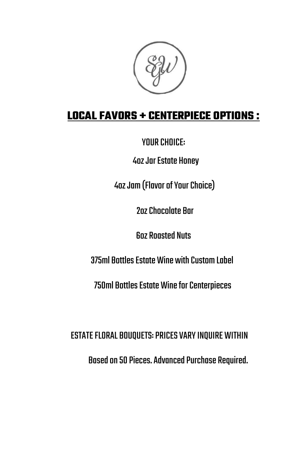# **LOCAL FAVORS + CENTERPIECE OPTIONS :**

YOUR CHOICE:

**4oz Jar Estate Honey** 

4oz Jam (Flavor of Your Choice)

2ozChocolate Bar

**6oz Roasted Nuts** 

375ml Bottles Estate Wine with Custom Label

750ml Bottles Estate Wine for Centerpieces

ESTATE FLORAL BOUQUETS: PRICES VARY INQUIRE WITHIN

Based on 50 Pieces. Advanced Purchase Required.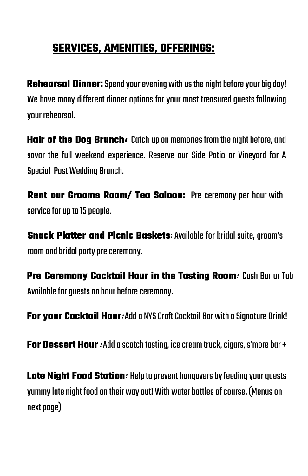# **SERVICES, AMENITIES, OFFERINGS:**

**Rehearsal Dinner:** Spend your evening with us the night before your big day! We have many different dinner options for your most treasured auests following your rehearsal.

**Hair of the Dog Brunch:** Catch up on memories from the night before, and savor the full weekend experience. Reserve our Side Patio or Vineyard for A **Special Post Wedding Brunch.** 

**Rent our Grooms Room/ Tea Saloon:** Pre ceremony per hour with service for up to 15 people.

**Snack Platter and Picnic Baskets**: Available for bridal suite, groom's room and bridal party pre ceremony.

**Pre Ceremony Cocktail Hour in the Tasting Room**: Cash Bar or Tab Available for quests an hour before ceremony.

**For your Cocktail Hour: Add a NYS Craft Cocktail Bar with a Signature Drink!** 

**For Dessert Hour**: Add a scotch tasting, ice cream truck, cigars, s'more bar +

**Late Night Food Station: Help to prevent hangovers by feeding your quests** yummylatenight foodontheir wayout!With waterbottlesofcourse. (Menuson next page)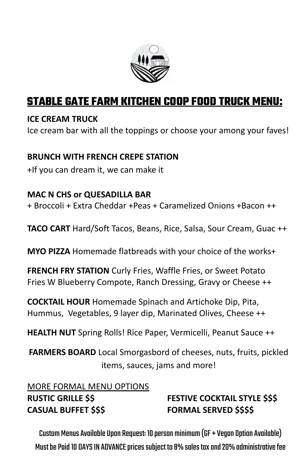

## **STABLE GATE FARM KITCHEN COOP FOOD TRUCK MENU:**

## **ICE CREAM TRUCK**

Ice cream bar with all the toppings or choose your among your faves!

## **BRUNCH WITH FRENCH CREPE STATION**

+If you can dream it, we can make it

## **MAC N CHS or QUESADILLA BAR**

+ Broccoli + Extra Cheddar +Peas + Caramelized Onions +Bacon ++

**TACO CART** Hard/Soft Tacos, Beans, Rice, Salsa, Sour Cream, Guac ++

**MYO PIZZA** Homemade flatbreads with your choice of the works+

**FRENCH FRY STATION** Curly Fries, Waffle Fries, or Sweet Potato Fries W Blueberry Compote, Ranch Dressing, Gravy or Cheese ++

**COCKTAIL HOUR** Homemade Spinach and Artichoke Dip, Pita, Hummus, Vegetables, 9 layer dip, Marinated Olives, Cheese ++

**HEALTH NUT** Spring Rolls! Rice Paper, Vermicelli, Peanut Sauce ++

**FARMERS BOARD** Local Smorgasbord of cheeses, nuts, fruits, pickled items, sauces, jams and more!

## MORE FORMAL MENU OPTIONS **RUSTIC GRILLE \$\$ FESTIVE COCKTAIL STYLE \$\$\$ CASUAL BUFFET \$\$\$ FORMAL SERVED \$\$\$\$**

Custom Menus Available Upon Request: 10 person minimum (GF + Vegan Option Available) Must be Paid 10 DAYS IN ADVANCE prices subject to 8% sales tax and 20% administrative fee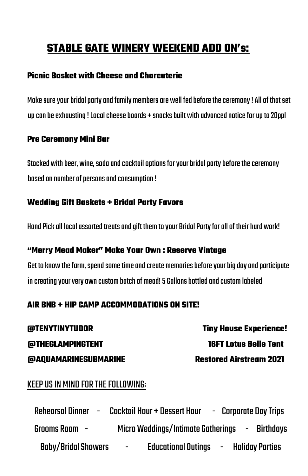# **STABLE GATE WINERY WEEKEND ADD ON's:**

### **Picnic Basket with Cheese and Charcuterie**

Make sure your bridal party and family members are well fed before the ceremony ! All of that set up can be exhausting ! Local cheese boards + snacks built with advanced notice for up to 20ppl

#### **Pre Ceremony Mini Bar**

Stocked with beer, wine, soda and cocktail options for your bridal party before the ceremony based on number of persons and consumption !

## **Wedding Gift Baskets + Bridal Party Favors**

Hand Pick all local assorted treats and aift them to your Bridal Party for all of their hard work!

#### **"Merry Mead Maker" Make Your Own : Reserve Vintage**

Get to know the farm, spend some time and create memories before your big day and participate in creating your very own custom batch of mead! 5 Gallons bottled and custom labeled

## **AIR BNB + HIP CAMP ACCOMMODATIONS ON SITE!**

**@TENYTINYTUDOR Tiny House Experience! @THEGLAMPINGTENT 16FT Lotus Belle Tent @AQUAMARINESUBMARINE Restored Airstream 2021**

## KEEPUSIN MIND FORTHEFOLLOWING:

Rehearsal Dinner - Cocktail Hour + Dessert Hour - Corporate DayTrips GroomsRoom - MicroWeddings/IntimateGatherings - Birthdays Baby/Bridal Showers - Educational Outings - Holiday Parties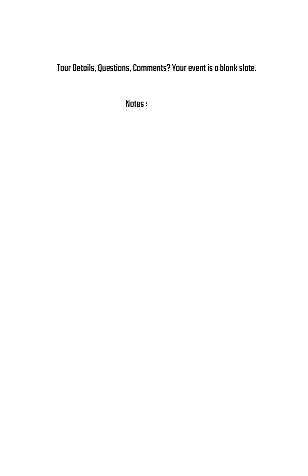Tour Details, Questions, Comments? Your event is a blank slate.

Notes: